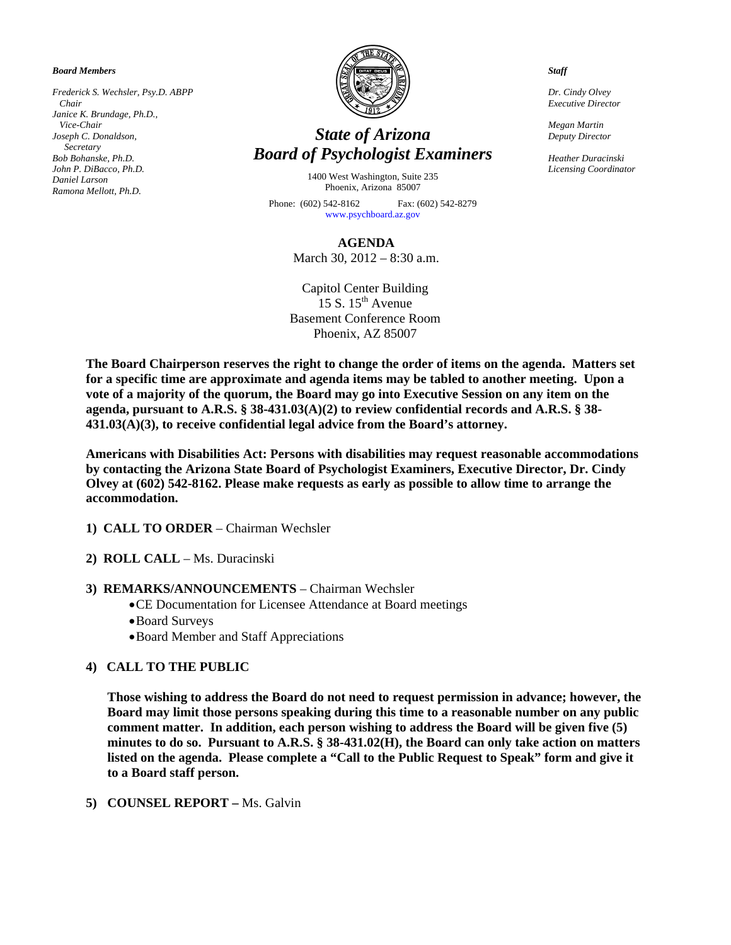*Board Members* 

*Frederick S. Wechsler, Psy.D. ABPP Chair Janice K. Brundage, Ph.D., Vice-Chair Joseph C. Donaldson, Secretary Bob Bohanske, Ph.D. John P. DiBacco, Ph.D. Daniel Larson Ramona Mellott, Ph.D.* 



# *State of Arizona Board of Psychologist Examiners*

1400 West Washington, Suite 235 Phoenix, Arizona 85007

Phone: (602) 542-8162 Fax: (602) 542-8279 [www.psychboard.az.gov](http://www.psychboard.az.gov/)

**AGENDA** 

March 30, 2012 – 8:30 a.m.

Capitol Center Building  $15 S. 15<sup>th</sup>$  Avenue Basement Conference Room Phoenix, AZ 85007

**The Board Chairperson reserves the right to change the order of items on the agenda. Matters set for a specific time are approximate and agenda items may be tabled to another meeting. Upon a vote of a majority of the quorum, the Board may go into Executive Session on any item on the agenda, pursuant to A.R.S. § 38-431.03(A)(2) to review confidential records and A.R.S. § 38- 431.03(A)(3), to receive confidential legal advice from the Board's attorney.** 

**Americans with Disabilities Act: Persons with disabilities may request reasonable accommodations by contacting the Arizona State Board of Psychologist Examiners, Executive Director, Dr. Cindy Olvey at (602) 542-8162. Please make requests as early as possible to allow time to arrange the accommodation.** 

- **1) CALL TO ORDER** Chairman Wechsler
- **2) ROLL CALL** Ms. Duracinski
- **3) REMARKS/ANNOUNCEMENTS** Chairman Wechsler
	- CE Documentation for Licensee Attendance at Board meetings
	- Board Surveys
	- Board Member and Staff Appreciations

### **4) CALL TO THE PUBLIC**

**Those wishing to address the Board do not need to request permission in advance; however, the Board may limit those persons speaking during this time to a reasonable number on any public comment matter. In addition, each person wishing to address the Board will be given five (5) minutes to do so. Pursuant to A.R.S. § 38-431.02(H), the Board can only take action on matters listed on the agenda. Please complete a "Call to the Public Request to Speak" form and give it to a Board staff person.** 

**5) COUNSEL REPORT –** Ms. Galvin

*Staff* 

*Dr. Cindy Olvey Executive Director* 

*Megan Martin Deputy Director* 

*Heather Duracinski Licensing Coordinator*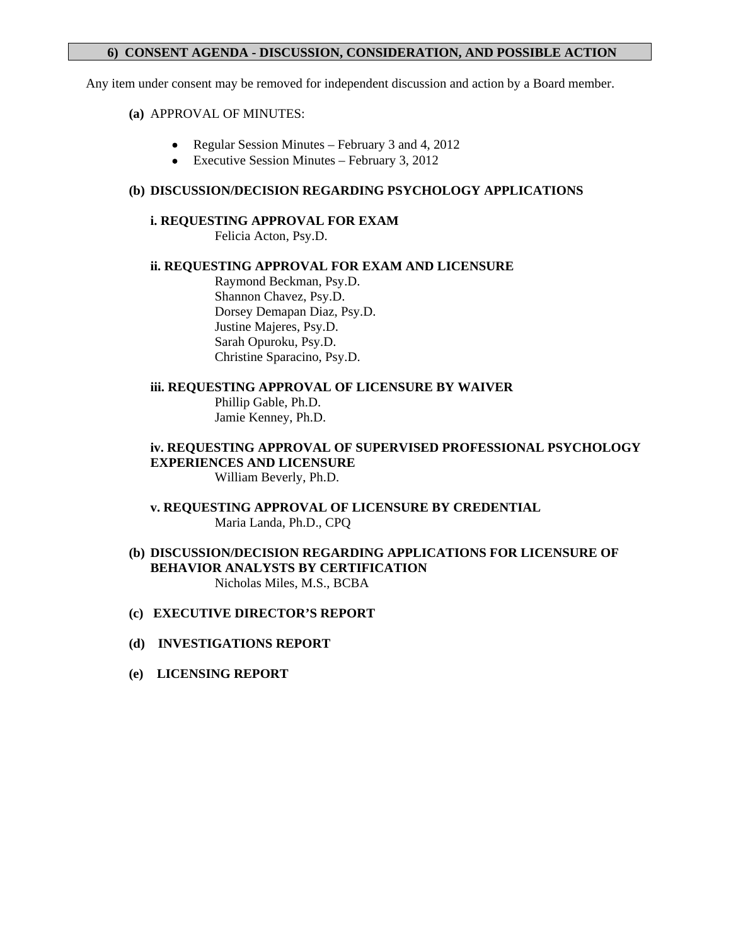# **6) CONSENT AGENDA - DISCUSSION, CONSIDERATION, AND POSSIBLE ACTION**

Any item under consent may be removed for independent discussion and action by a Board member.

### **(a)** APPROVAL OF MINUTES:

- Regular Session Minutes February 3 and 4, 2012
- Executive Session Minutes February 3, 2012

# **(b) DISCUSSION/DECISION REGARDING PSYCHOLOGY APPLICATIONS**

### **i. REQUESTING APPROVAL FOR EXAM**

Felicia Acton, Psy.D.

# **ii. REQUESTING APPROVAL FOR EXAM AND LICENSURE**

 Raymond Beckman, Psy.D. Shannon Chavez, Psy.D. Dorsey Demapan Diaz, Psy.D. Justine Majeres, Psy.D. Sarah Opuroku, Psy.D. Christine Sparacino, Psy.D.

# **iii. REQUESTING APPROVAL OF LICENSURE BY WAIVER**

 Phillip Gable, Ph.D. Jamie Kenney, Ph.D.

# **iv. REQUESTING APPROVAL OF SUPERVISED PROFESSIONAL PSYCHOLOGY EXPERIENCES AND LICENSURE**

William Beverly, Ph.D.

**v. REQUESTING APPROVAL OF LICENSURE BY CREDENTIAL**  Maria Landa, Ph.D., CPQ

### **(b) DISCUSSION/DECISION REGARDING APPLICATIONS FOR LICENSURE OF BEHAVIOR ANALYSTS BY CERTIFICATION**  Nicholas Miles, M.S., BCBA

# **(c) EXECUTIVE DIRECTOR'S REPORT**

### **(d) INVESTIGATIONS REPORT**

**(e) LICENSING REPORT**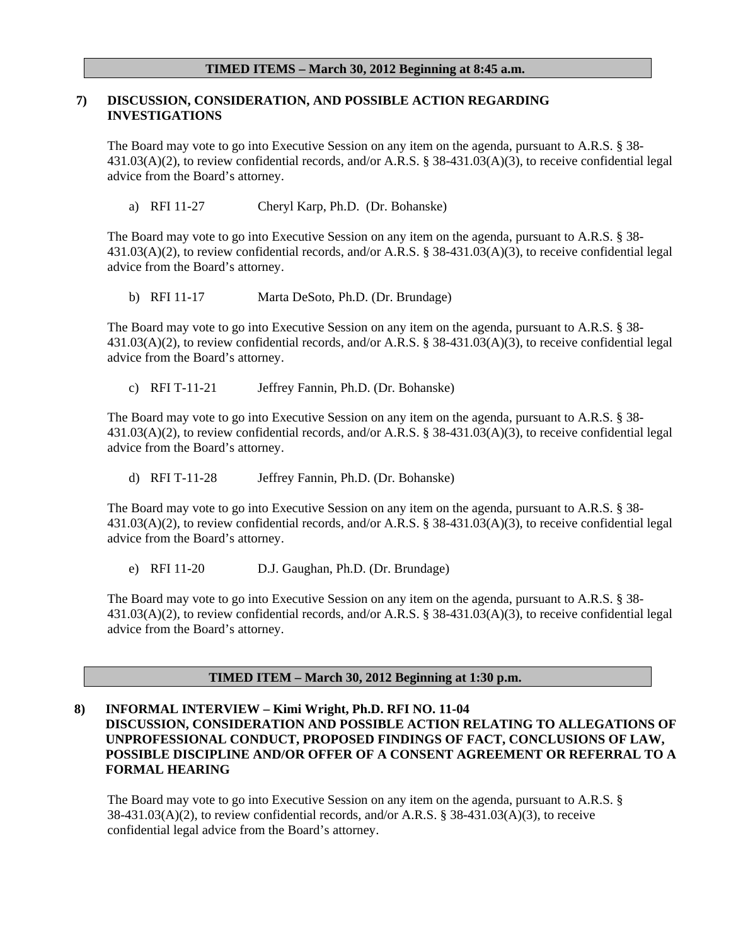### **TIMED ITEMS – March 30, 2012 Beginning at 8:45 a.m.**

### **7) DISCUSSION, CONSIDERATION, AND POSSIBLE ACTION REGARDING INVESTIGATIONS**

The Board may vote to go into Executive Session on any item on the agenda, pursuant to A.R.S. § 38-431.03(A)(2), to review confidential records, and/or A.R.S. § 38-431.03(A)(3), to receive confidential legal advice from the Board's attorney.

a) RFI 11-27Cheryl Karp, Ph.D.(Dr. Bohanske)

The Board may vote to go into Executive Session on any item on the agenda, pursuant to A.R.S. § 38-431.03(A)(2), to review confidential records, and/or A.R.S. § 38-431.03(A)(3), to receive confidential legal advice from the Board's attorney.

b) RFI 11-17 Marta DeSoto, Ph.D. (Dr. Brundage)

The Board may vote to go into Executive Session on any item on the agenda, pursuant to A.R.S. § 38- 431.03(A)(2), to review confidential records, and/or A.R.S. § 38-431.03(A)(3), to receive confidential legal advice from the Board's attorney.

c) RFI T-11-21 Jeffrey Fannin, Ph.D. (Dr. Bohanske)

The Board may vote to go into Executive Session on any item on the agenda, pursuant to A.R.S. § 38- 431.03(A)(2), to review confidential records, and/or A.R.S. § 38-431.03(A)(3), to receive confidential legal advice from the Board's attorney.

d) RFI T-11-28 Jeffrey Fannin, Ph.D. (Dr. Bohanske)

The Board may vote to go into Executive Session on any item on the agenda, pursuant to A.R.S. § 38-431.03(A)(2), to review confidential records, and/or A.R.S. § 38-431.03(A)(3), to receive confidential legal advice from the Board's attorney.

e) RFI 11-20 D.J. Gaughan, Ph.D. (Dr. Brundage)

The Board may vote to go into Executive Session on any item on the agenda, pursuant to A.R.S. § 38-431.03(A)(2), to review confidential records, and/or A.R.S. § 38-431.03(A)(3), to receive confidential legal advice from the Board's attorney.

#### **TIMED ITEM – March 30, 2012 Beginning at 1:30 p.m.**

# **8) INFORMAL INTERVIEW – Kimi Wright, Ph.D. RFI NO. 11-04 DISCUSSION, CONSIDERATION AND POSSIBLE ACTION RELATING TO ALLEGATIONS OF UNPROFESSIONAL CONDUCT, PROPOSED FINDINGS OF FACT, CONCLUSIONS OF LAW, POSSIBLE DISCIPLINE AND/OR OFFER OF A CONSENT AGREEMENT OR REFERRAL TO A FORMAL HEARING**

The Board may vote to go into Executive Session on any item on the agenda, pursuant to A.R.S. § 38-431.03(A)(2), to review confidential records, and/or A.R.S. § 38-431.03(A)(3), to receive confidential legal advice from the Board's attorney.